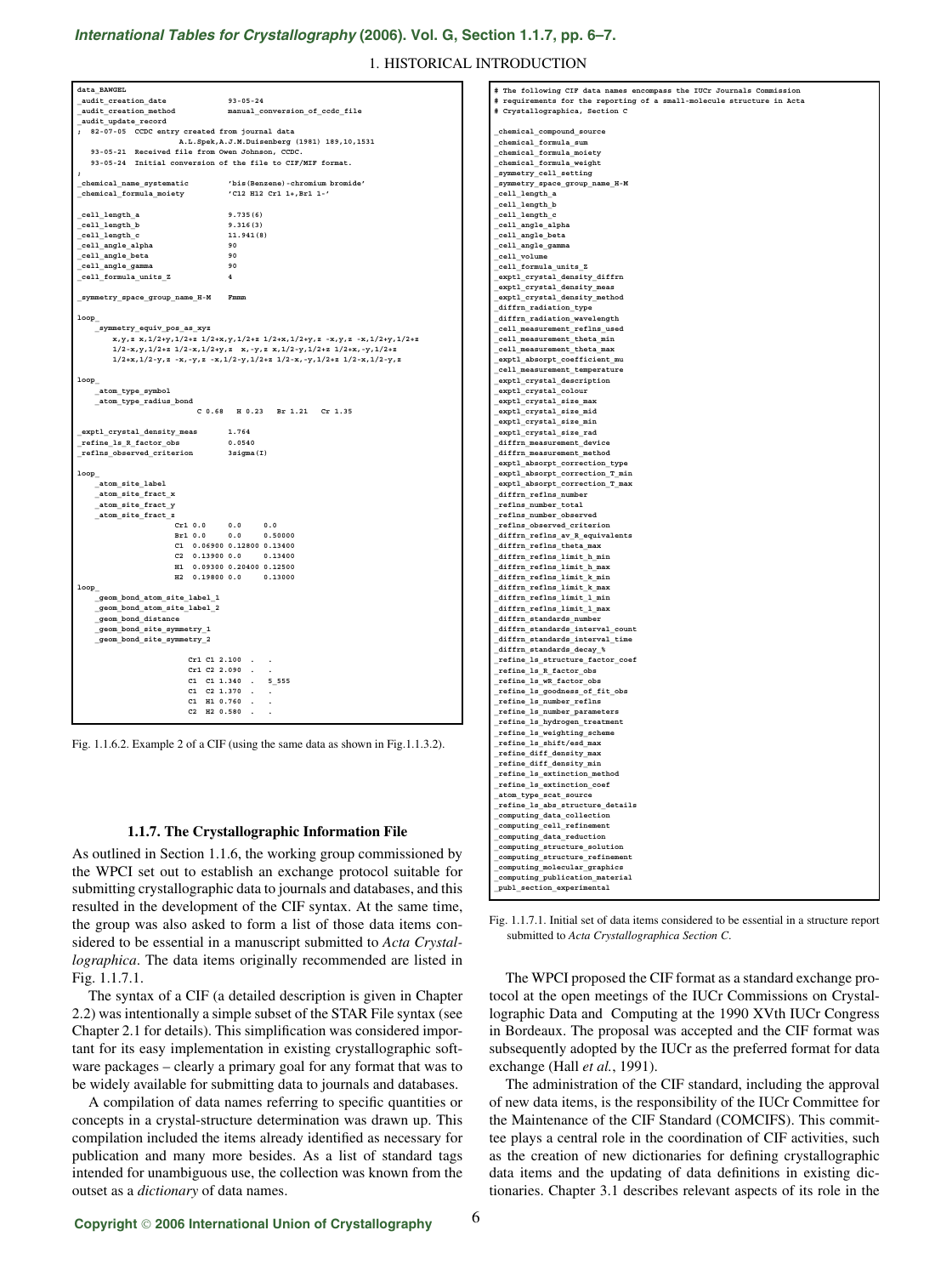# *[International Tables for Crystallography](http://it.iucr.org/Ga/ch1o1v0001/sec1o1o7/)* **(2006). Vol. G, Section 1.1.7, pp. 6–7.**

## 1. HISTORICAL INTRODUCTION

| data BAWGEL                                                |                                                                                                                     |  |
|------------------------------------------------------------|---------------------------------------------------------------------------------------------------------------------|--|
| audit creation date<br>$93 - 05 - 24$                      |                                                                                                                     |  |
| $\_audit\_creation\_method$                                | manual_conversion_of_ccdc_file                                                                                      |  |
| audit update record                                        |                                                                                                                     |  |
| ; 82-07-05 CCDC entry created from journal data            |                                                                                                                     |  |
|                                                            | A.L.Spek, A.J.M.Duisenberg (1981) 189, 10, 1531                                                                     |  |
| 93-05-21 Received file from Owen Johnson, CCDC.            |                                                                                                                     |  |
| 93-05-24 Initial conversion of the file to CIF/MIF format. |                                                                                                                     |  |
| ;                                                          |                                                                                                                     |  |
| _chemical_name_systematic                                  | 'bis (Benzene) - chromium bromide'                                                                                  |  |
| _chemical_formula_moiety                                   | 'C12 H12 Cr1 1+, Br1 1-'                                                                                            |  |
|                                                            |                                                                                                                     |  |
| _cell_length_a                                             | 9.735(6)                                                                                                            |  |
| cell length b                                              | 9.316(3)                                                                                                            |  |
| _cell_length_c                                             | 11.941(8)                                                                                                           |  |
| cell angle alpha                                           | 90                                                                                                                  |  |
| $\_cell\_angle\_beta$                                      | 90                                                                                                                  |  |
| _cell_angle_gamma                                          | 90                                                                                                                  |  |
| _cell_formula_units_Z                                      | 4                                                                                                                   |  |
|                                                            |                                                                                                                     |  |
| _symmetry_space_group_name_H-M                             | Fmmm                                                                                                                |  |
|                                                            |                                                                                                                     |  |
| loop                                                       |                                                                                                                     |  |
| _symmetry_equiv_pos_as_xyz                                 |                                                                                                                     |  |
|                                                            | x, y, z x, 1/2+y, 1/2+z 1/2+x, y, 1/2+z 1/2+x, 1/2+y, z -x, y, z -x, 1/2+y, 1/2+z                                   |  |
|                                                            | $1/2-x, y, 1/2+z$ $1/2-x, 1/2+y, z$ x, -y, z x, $1/2-y, 1/2+z$ $1/2+x, -y, 1/2+z$                                   |  |
|                                                            | $1/2+x$ , $1/2-y$ , $z -x$ , $-y$ , $z -x$ , $1/2-y$ , $1/2+z$ , $1/2-x$ , $-y$ , $1/2+z$ , $1/2-x$ , $1/2-y$ , $z$ |  |
|                                                            |                                                                                                                     |  |
| $loop_{-}$                                                 |                                                                                                                     |  |
| _atom_type_symbol                                          |                                                                                                                     |  |
| _atom_type_radius_bond                                     |                                                                                                                     |  |
|                                                            |                                                                                                                     |  |
|                                                            |                                                                                                                     |  |
|                                                            | C 0.68 H 0.23 Br 1.21 Cr 1.35                                                                                       |  |
|                                                            |                                                                                                                     |  |
| exptl_crystal_density_meas                                 | 1.764                                                                                                               |  |
| _refine_ls_R_factor obs                                    | 0.0540                                                                                                              |  |
| _reflns_observed_criterion                                 | 3sigma(I)                                                                                                           |  |
|                                                            |                                                                                                                     |  |
| $loop_{-}$                                                 |                                                                                                                     |  |
| _atom_site_label                                           |                                                                                                                     |  |
| _atom_site_fract x                                         |                                                                                                                     |  |
| atom site fract y                                          |                                                                                                                     |  |
| atom site fract z                                          |                                                                                                                     |  |
| $Cr1$ $0.0$                                                | 0.0<br>0.0                                                                                                          |  |
| Br1 0.0                                                    | 0.0<br>0.50000                                                                                                      |  |
|                                                            | C1 0.06900 0.12800 0.13400                                                                                          |  |
|                                                            | C2 0.13900 0.0 0.13400                                                                                              |  |
|                                                            | H1 0.09300 0.20400 0.12500                                                                                          |  |
|                                                            | H2 0.19800 0.0 0.13000                                                                                              |  |
| loop                                                       |                                                                                                                     |  |
| geom bond atom site label 1                                |                                                                                                                     |  |
| geom_bond_atom_site_label_2                                |                                                                                                                     |  |
| geom bond distance                                         |                                                                                                                     |  |
| geom bond site symmetry 1                                  |                                                                                                                     |  |
| geom_bond_site_symmetry_2                                  |                                                                                                                     |  |
|                                                            |                                                                                                                     |  |
|                                                            | Cr1 C1 2.100.<br>$\sim$                                                                                             |  |
|                                                            | Cr1 C2 2.090.                                                                                                       |  |
|                                                            | 5 5 5 5<br>C1 C1 1.340.                                                                                             |  |
|                                                            | C1 C2 1.370.                                                                                                        |  |
|                                                            | C1 H1 0.760.                                                                                                        |  |
|                                                            | C2 H2 0.580.                                                                                                        |  |

Fig. 1.1.6.2. Example 2 of a CIF (using the same data as shown in Fig.1.1.3.2).

#### **1.1.7. The Crystallographic Information File**

As outlined in Section 1.1.6, the working group commissioned by the WPCI set out to establish an exchange protocol suitable for submitting crystallographic data to journals and databases, and this resulted in the development of the CIF syntax. At the same time, the group was also asked to form a list of those data items considered to be essential in a manuscript submitted to *Acta Crystallographica*. The data items originally recommended are listed in Fig. 1.1.7.1.

The syntax of a CIF (a detailed description is given in Chapter 2.2) was intentionally a simple subset of the STAR File syntax (see Chapter 2.1 for details). This simplification was considered important for its easy implementation in existing crystallographic software packages – clearly a primary goal for any format that was to be widely available for submitting data to journals and databases.

A compilation of data names referring to specific quantities or concepts in a crystal-structure determination was drawn up. This compilation included the items already identified as necessary for publication and many more besides. As a list of standard tags intended for unambiguous use, the collection was known from the outset as a *dictionary* of data names.

**\_chemical\_compound\_source \_chemical\_formula\_sum \_chemical\_formula\_moiety \_chemical\_formula\_weight \_symmetry\_cell\_setting \_symmetry\_space\_group\_name\_H-M \_cell\_length\_a \_cell\_length\_b \_cell\_length\_c \_cell\_angle\_alpha \_cell\_angle\_beta \_cell\_angle\_gamma \_cell\_volume \_cell\_formula\_units\_Z \_exptl\_crystal\_density\_diffrn \_exptl\_crystal\_density\_meas \_exptl\_crystal\_density\_method \_diffrn\_radiation\_type \_diffrn\_radiation\_wavelength \_cell\_measurement\_reflns\_used \_cell\_measurement\_theta\_min \_cell\_measurement\_theta\_max \_exptl\_absorpt\_coefficient\_mu \_cell\_measurement\_temperature \_exptl\_crystal\_description \_exptl\_crystal\_colour \_exptl\_crystal\_size\_max \_exptl\_crystal\_size\_mid \_exptl\_crystal\_size\_min \_exptl\_crystal\_size\_rad \_diffrn\_measurement\_device \_diffrn\_measurement\_method \_exptl\_absorpt\_correction\_type \_exptl\_absorpt\_correction\_T\_min \_exptl\_absorpt\_correction\_T\_max** diffrn reflns nu **\_reflns\_number\_total \_reflns\_number\_observed \_reflns\_observed\_criterion \_diffrn\_reflns\_av\_R\_equivalents \_diffrn\_reflns\_theta\_max \_diffrn\_reflns\_limit\_h\_min \_diffrn\_reflns\_limit\_h\_max \_diffrn\_reflns\_limit\_k\_min \_diffrn\_reflns\_limit\_k\_max \_diffrn\_reflns\_limit\_l\_min \_diffrn\_reflns\_limit\_l\_max \_diffrn\_standards\_number** \_<br>\_diffrn\_standards\_interval\_ **\_diffrn\_standards\_interval\_time \_diffrn\_standards\_decay\_% \_refine\_ls\_structure\_factor\_coef \_refine\_ls\_R\_factor\_obs \_refine\_ls\_wR\_factor\_obs \_refine\_ls\_goodness\_of\_fit\_obs \_refine\_ls\_number\_reflns \_refine\_ls\_number\_parameters \_refine\_ls\_hydrogen\_treatment \_refine\_ls\_weighting\_scheme \_refine\_ls\_shift/esd\_max \_refine\_diff\_density\_max \_refine\_diff\_density\_min \_refine\_ls\_extinction\_method \_refine\_ls\_extinction\_coef \_atom\_type\_scat\_source \_refine\_ls\_abs\_structure\_details \_computing\_data\_collection \_computing\_cell\_refinement \_computing\_data\_reduction \_computing\_structure\_solution \_computing\_structure\_refinement \_computing\_molecular\_graphics \_computing\_publication\_material \_publ\_section\_experimental**

**# The following CIF data names encompass the IUCr Journals Commission # requirements for the reporting of a small-molecule structure in Acta**

**# Crystallographica, Section C**

Fig. 1.1.7.1. Initial set of data items considered to be essential in a structure report submitted to *Acta Crystallographica Section C*.

The WPCI proposed the CIF format as a standard exchange protocol at the open meetings of the IUCr Commissions on Crystallographic Data and Computing at the 1990 XVth IUCr Congress in Bordeaux. The proposal was accepted and the CIF format was subsequently adopted by the IUCr as the preferred format for data exchange (Hall *et al.*, 1991).

The administration of the CIF standard, including the approval of new data items, is the responsibility of the IUCr Committee for the Maintenance of the CIF Standard (COMCIFS). This committee plays a central role in the coordination of CIF activities, such as the creation of new dictionaries for defining crystallographic data items and the updating of data definitions in existing dictionaries. Chapter 3.1 describes relevant aspects of its role in the